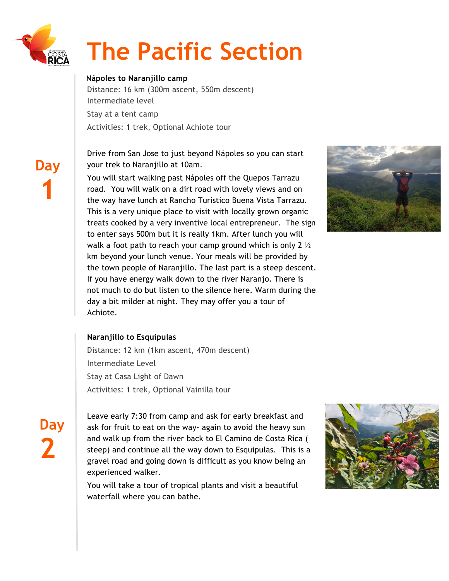

 **Day**

**1**

# **The Pacific Section**

### **Nápoles to Naranjillo camp**

Distance: 16 km (300m ascent, 550m descent) Intermediate level Stay at a tent camp

Activities: 1 trek, Optional Achiote tour

Drive from San Jose to just beyond Nápoles so you can start your trek to Naranjillo at 10am.

You will start walking past Nápoles off the Quepos Tarrazu road. You will walk on a dirt road with lovely views and on the way have lunch at Rancho Turistico Buena Vista Tarrazu. This is a very unique place to visit with locally grown organic treats cooked by a very inventive local entrepreneur. The sign to enter says 500m but it is really 1km. After lunch you will walk a foot path to reach your camp ground which is only 2  $\frac{1}{2}$ km beyond your lunch venue. Your meals will be provided by the town people of Naranjillo. The last part is a steep descent. If you have energy walk down to the river Naranjo. There is not much to do but listen to the silence here. Warm during the day a bit milder at night. They may offer you a tour of Achiote.



## **Naranjillo to Esquipulas**

Distance: 12 km (1km ascent, 470m descent) Intermediate Level Stay at Casa Light of Dawn Activities: 1 trek, Optional Vainilla tour

**Day 2**

Leave early 7:30 from camp and ask for early breakfast and ask for fruit to eat on the way- again to avoid the heavy sun and walk up from the river back to El Camino de Costa Rica ( steep) and continue all the way down to Esquipulas. This is a gravel road and going down is difficult as you know being an experienced walker.

You will take a tour of tropical plants and visit a beautiful waterfall where you can bathe.